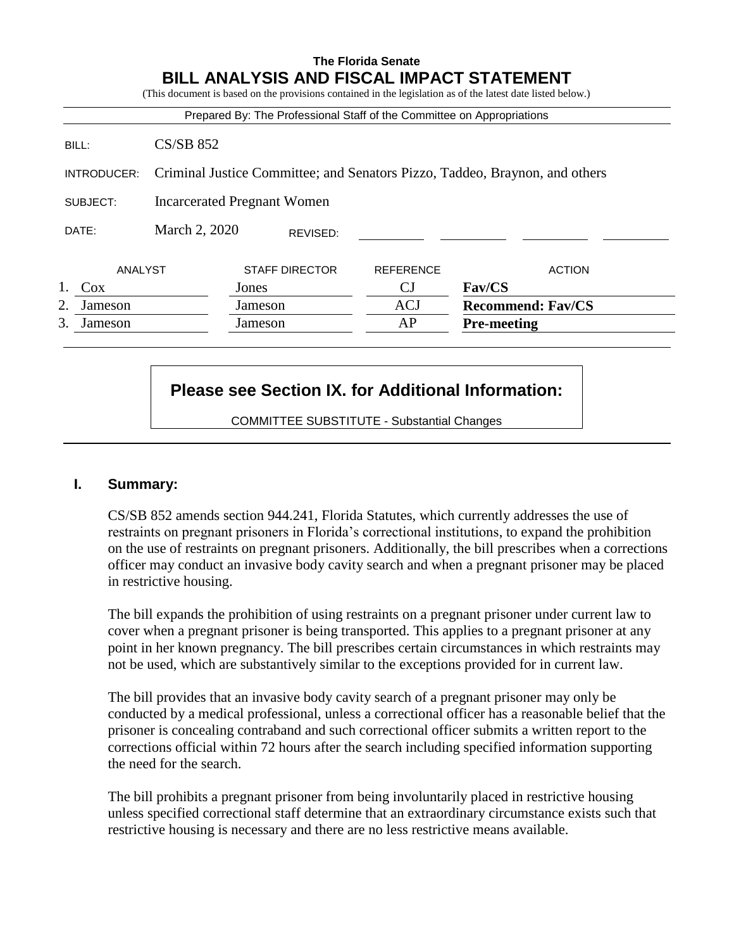### **The Florida Senate BILL ANALYSIS AND FISCAL IMPACT STATEMENT**

|             |                                    |                       |          | Prepared By: The Professional Staff of the Committee on Appropriations      |                    |                          |
|-------------|------------------------------------|-----------------------|----------|-----------------------------------------------------------------------------|--------------------|--------------------------|
| BILL:       | $CS/SB$ 852                        |                       |          |                                                                             |                    |                          |
| INTRODUCER: |                                    |                       |          | Criminal Justice Committee; and Senators Pizzo, Taddeo, Braynon, and others |                    |                          |
| SUBJECT:    | <b>Incarcerated Pregnant Women</b> |                       |          |                                                                             |                    |                          |
| DATE:       | March 2, 2020                      |                       | REVISED: |                                                                             |                    |                          |
| ANALYST     |                                    | <b>STAFF DIRECTOR</b> |          | <b>REFERENCE</b>                                                            |                    | <b>ACTION</b>            |
| Cox         |                                    | Jones                 |          | СJ                                                                          | <b>Fav/CS</b>      |                          |
| 2.          |                                    | Jameson               |          | <b>ACJ</b>                                                                  |                    | <b>Recommend: Fav/CS</b> |
| Jameson     | 3.<br>Jameson                      |                       | Jameson  | AP                                                                          | <b>Pre-meeting</b> |                          |

# **Please see Section IX. for Additional Information:**

COMMITTEE SUBSTITUTE - Substantial Changes

### **I. Summary:**

CS/SB 852 amends section 944.241, Florida Statutes, which currently addresses the use of restraints on pregnant prisoners in Florida's correctional institutions, to expand the prohibition on the use of restraints on pregnant prisoners. Additionally, the bill prescribes when a corrections officer may conduct an invasive body cavity search and when a pregnant prisoner may be placed in restrictive housing.

The bill expands the prohibition of using restraints on a pregnant prisoner under current law to cover when a pregnant prisoner is being transported. This applies to a pregnant prisoner at any point in her known pregnancy. The bill prescribes certain circumstances in which restraints may not be used, which are substantively similar to the exceptions provided for in current law.

The bill provides that an invasive body cavity search of a pregnant prisoner may only be conducted by a medical professional, unless a correctional officer has a reasonable belief that the prisoner is concealing contraband and such correctional officer submits a written report to the corrections official within 72 hours after the search including specified information supporting the need for the search.

The bill prohibits a pregnant prisoner from being involuntarily placed in restrictive housing unless specified correctional staff determine that an extraordinary circumstance exists such that restrictive housing is necessary and there are no less restrictive means available.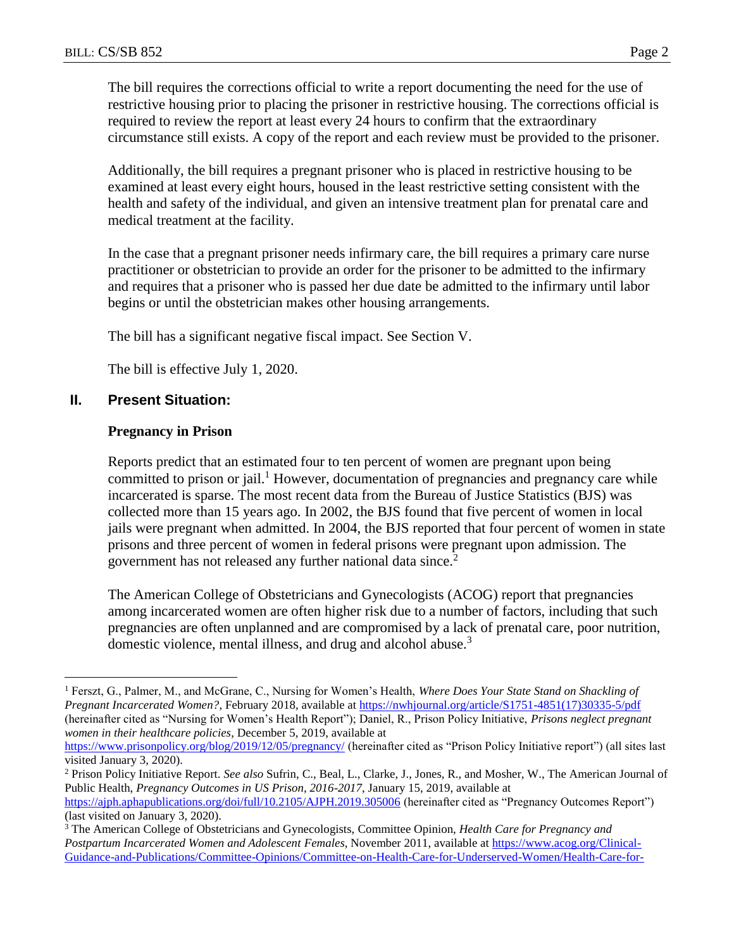The bill requires the corrections official to write a report documenting the need for the use of restrictive housing prior to placing the prisoner in restrictive housing. The corrections official is required to review the report at least every 24 hours to confirm that the extraordinary circumstance still exists. A copy of the report and each review must be provided to the prisoner.

Additionally, the bill requires a pregnant prisoner who is placed in restrictive housing to be examined at least every eight hours, housed in the least restrictive setting consistent with the health and safety of the individual, and given an intensive treatment plan for prenatal care and medical treatment at the facility.

In the case that a pregnant prisoner needs infirmary care, the bill requires a primary care nurse practitioner or obstetrician to provide an order for the prisoner to be admitted to the infirmary and requires that a prisoner who is passed her due date be admitted to the infirmary until labor begins or until the obstetrician makes other housing arrangements.

The bill has a significant negative fiscal impact. See Section V.

The bill is effective July 1, 2020.

#### **II. Present Situation:**

 $\overline{a}$ 

#### **Pregnancy in Prison**

Reports predict that an estimated four to ten percent of women are pregnant upon being committed to prison or jail.<sup>1</sup> However, documentation of pregnancies and pregnancy care while incarcerated is sparse. The most recent data from the Bureau of Justice Statistics (BJS) was collected more than 15 years ago. In 2002, the BJS found that five percent of women in local jails were pregnant when admitted. In 2004, the BJS reported that four percent of women in state prisons and three percent of women in federal prisons were pregnant upon admission. The government has not released any further national data since.<sup>2</sup>

The American College of Obstetricians and Gynecologists (ACOG) report that pregnancies among incarcerated women are often higher risk due to a number of factors, including that such pregnancies are often unplanned and are compromised by a lack of prenatal care, poor nutrition, domestic violence, mental illness, and drug and alcohol abuse.<sup>3</sup>

<sup>1</sup> Ferszt, G., Palmer, M., and McGrane, C., Nursing for Women's Health, *Where Does Your State Stand on Shackling of Pregnant Incarcerated Women?*, February 2018, available at [https://nwhjournal.org/article/S1751-4851\(17\)30335-5/pdf](https://nwhjournal.org/article/S1751-4851(17)30335-5/pdf) (hereinafter cited as "Nursing for Women's Health Report"); Daniel, R., Prison Policy Initiative, *Prisons neglect pregnant women in their healthcare policies*, December 5, 2019, available at

<https://www.prisonpolicy.org/blog/2019/12/05/pregnancy/> (hereinafter cited as "Prison Policy Initiative report") (all sites last visited January 3, 2020).

<sup>2</sup> Prison Policy Initiative Report. *See also* Sufrin, C., Beal, L., Clarke, J., Jones, R., and Mosher, W., The American Journal of Public Health, *Pregnancy Outcomes in US Prison, 2016-2017*, January 15, 2019, available at <https://ajph.aphapublications.org/doi/full/10.2105/AJPH.2019.305006> (hereinafter cited as "Pregnancy Outcomes Report") (last visited on January 3, 2020).

<sup>3</sup> The American College of Obstetricians and Gynecologists, Committee Opinion, *Health Care for Pregnancy and Postpartum Incarcerated Women and Adolescent Females*, November 2011, available a[t https://www.acog.org/Clinical-](https://www.acog.org/Clinical-Guidance-and-Publications/Committee-Opinions/Committee-on-Health-Care-for-Underserved-Women/Health-Care-for-Pregnant-and-Postpartum-Incarcerated-Women-and-Adolescent-Females?IsMobileSet=false)[Guidance-and-Publications/Committee-Opinions/Committee-on-Health-Care-for-Underserved-Women/Health-Care-for-](https://www.acog.org/Clinical-Guidance-and-Publications/Committee-Opinions/Committee-on-Health-Care-for-Underserved-Women/Health-Care-for-Pregnant-and-Postpartum-Incarcerated-Women-and-Adolescent-Females?IsMobileSet=false)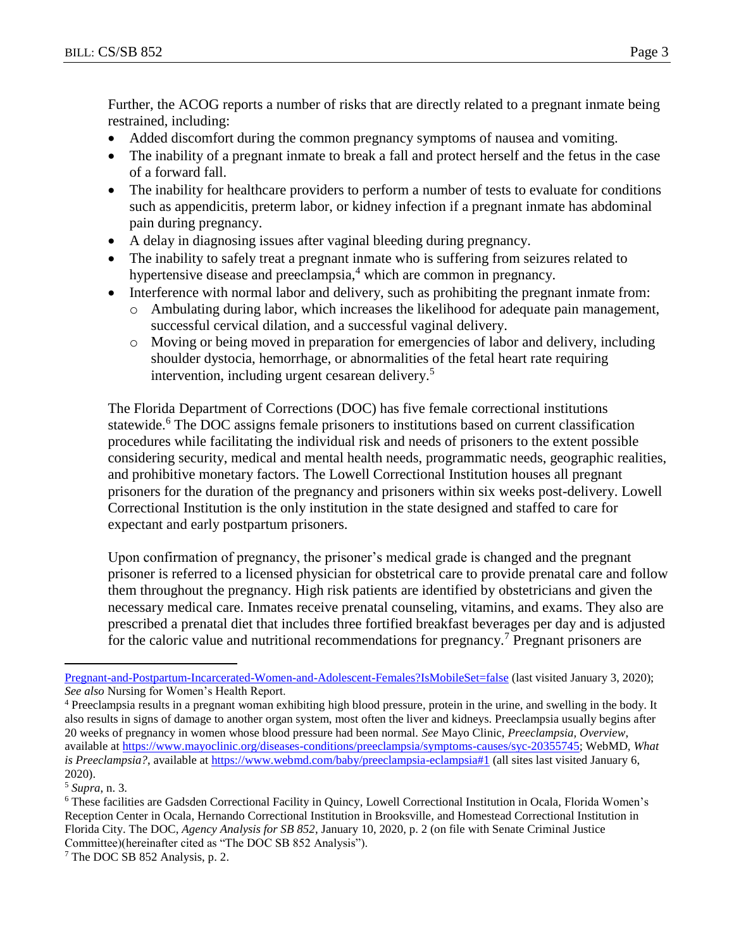Further, the ACOG reports a number of risks that are directly related to a pregnant inmate being restrained, including:

- Added discomfort during the common pregnancy symptoms of nausea and vomiting.
- The inability of a pregnant inmate to break a fall and protect herself and the fetus in the case of a forward fall.
- The inability for healthcare providers to perform a number of tests to evaluate for conditions such as appendicitis, preterm labor, or kidney infection if a pregnant inmate has abdominal pain during pregnancy.
- A delay in diagnosing issues after vaginal bleeding during pregnancy.
- The inability to safely treat a pregnant inmate who is suffering from seizures related to hypertensive disease and preeclampsia,<sup>4</sup> which are common in pregnancy.
- Interference with normal labor and delivery, such as prohibiting the pregnant inmate from:
	- o Ambulating during labor, which increases the likelihood for adequate pain management, successful cervical dilation, and a successful vaginal delivery.
	- o Moving or being moved in preparation for emergencies of labor and delivery, including shoulder dystocia, hemorrhage, or abnormalities of the fetal heart rate requiring intervention, including urgent cesarean delivery.<sup>5</sup>

The Florida Department of Corrections (DOC) has five female correctional institutions statewide.<sup>6</sup> The DOC assigns female prisoners to institutions based on current classification procedures while facilitating the individual risk and needs of prisoners to the extent possible considering security, medical and mental health needs, programmatic needs, geographic realities, and prohibitive monetary factors. The Lowell Correctional Institution houses all pregnant prisoners for the duration of the pregnancy and prisoners within six weeks post-delivery. Lowell Correctional Institution is the only institution in the state designed and staffed to care for expectant and early postpartum prisoners.

Upon confirmation of pregnancy, the prisoner's medical grade is changed and the pregnant prisoner is referred to a licensed physician for obstetrical care to provide prenatal care and follow them throughout the pregnancy. High risk patients are identified by obstetricians and given the necessary medical care. Inmates receive prenatal counseling, vitamins, and exams. They also are prescribed a prenatal diet that includes three fortified breakfast beverages per day and is adjusted for the caloric value and nutritional recommendations for pregnancy.<sup>7</sup> Pregnant prisoners are

[Pregnant-and-Postpartum-Incarcerated-Women-and-Adolescent-Females?IsMobileSet=false](https://www.acog.org/Clinical-Guidance-and-Publications/Committee-Opinions/Committee-on-Health-Care-for-Underserved-Women/Health-Care-for-Pregnant-and-Postpartum-Incarcerated-Women-and-Adolescent-Females?IsMobileSet=false) (last visited January 3, 2020); *See also* Nursing for Women's Health Report.

<sup>4</sup> Preeclampsia results in a pregnant woman exhibiting high blood pressure, protein in the urine, and swelling in the body. It also results in signs of damage to another organ system, most often the liver and kidneys. Preeclampsia usually begins after 20 weeks of pregnancy in women whose blood pressure had been normal. *See* Mayo Clinic, *Preeclampsia, Overview*, available at [https://www.mayoclinic.org/diseases-conditions/preeclampsia/symptoms-causes/syc-20355745;](https://www.mayoclinic.org/diseases-conditions/preeclampsia/symptoms-causes/syc-20355745) WebMD, *What is Preeclampsia?*, available at<https://www.webmd.com/baby/preeclampsia-eclampsia#1> (all sites last visited January 6, 2020).

<sup>5</sup> *Supra*, n. 3.

<sup>6</sup> These facilities are Gadsden Correctional Facility in Quincy, Lowell Correctional Institution in Ocala, Florida Women's Reception Center in Ocala, Hernando Correctional Institution in Brooksville, and Homestead Correctional Institution in Florida City. The DOC, *Agency Analysis for SB 852*, January 10, 2020, p. 2 (on file with Senate Criminal Justice Committee)(hereinafter cited as "The DOC SB 852 Analysis").

<sup>7</sup> The DOC SB 852 Analysis, p. 2.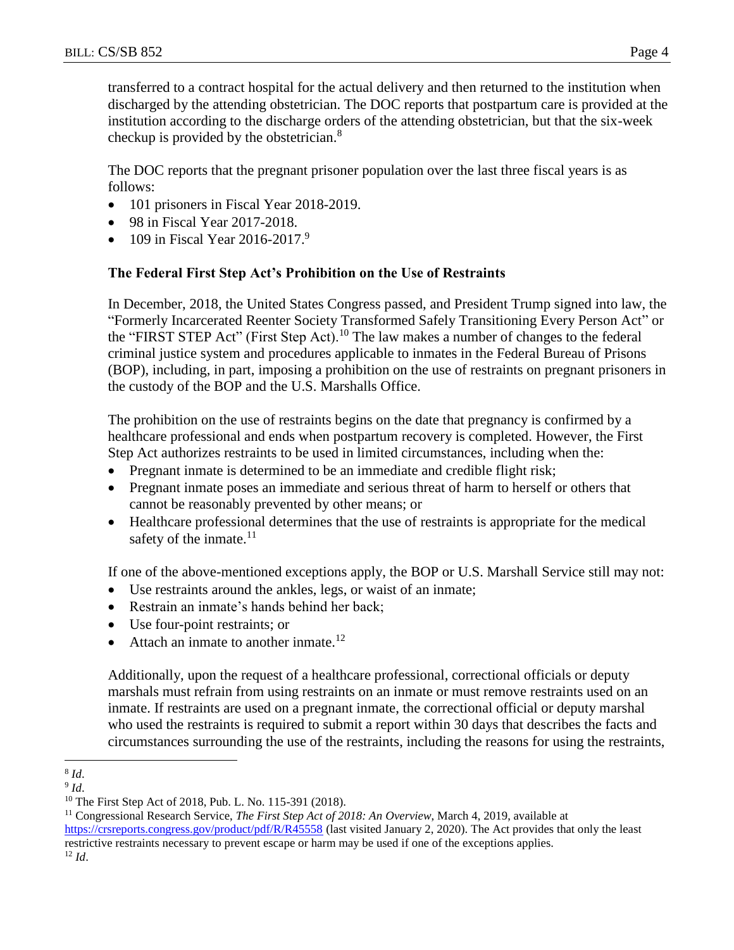transferred to a contract hospital for the actual delivery and then returned to the institution when discharged by the attending obstetrician. The DOC reports that postpartum care is provided at the institution according to the discharge orders of the attending obstetrician, but that the six-week checkup is provided by the obstetrician.<sup>8</sup>

The DOC reports that the pregnant prisoner population over the last three fiscal years is as follows:

- 101 prisoners in Fiscal Year 2018-2019.
- 98 in Fiscal Year 2017-2018.
- 109 in Fiscal Year 2016-2017.<sup>9</sup>

### **The Federal First Step Act's Prohibition on the Use of Restraints**

In December, 2018, the United States Congress passed, and President Trump signed into law, the "Formerly Incarcerated Reenter Society Transformed Safely Transitioning Every Person Act" or the "FIRST STEP Act" (First Step Act).<sup>10</sup> The law makes a number of changes to the federal criminal justice system and procedures applicable to inmates in the Federal Bureau of Prisons (BOP), including, in part, imposing a prohibition on the use of restraints on pregnant prisoners in the custody of the BOP and the U.S. Marshalls Office.

The prohibition on the use of restraints begins on the date that pregnancy is confirmed by a healthcare professional and ends when postpartum recovery is completed. However, the First Step Act authorizes restraints to be used in limited circumstances, including when the:

- Pregnant inmate is determined to be an immediate and credible flight risk;
- Pregnant inmate poses an immediate and serious threat of harm to herself or others that cannot be reasonably prevented by other means; or
- Healthcare professional determines that the use of restraints is appropriate for the medical safety of the inmate. $^{11}$

If one of the above-mentioned exceptions apply, the BOP or U.S. Marshall Service still may not:

- Use restraints around the ankles, legs, or waist of an inmate;
- Restrain an inmate's hands behind her back;
- Use four-point restraints; or
- Attach an inmate to another inmate.<sup>12</sup>

Additionally, upon the request of a healthcare professional, correctional officials or deputy marshals must refrain from using restraints on an inmate or must remove restraints used on an inmate. If restraints are used on a pregnant inmate, the correctional official or deputy marshal who used the restraints is required to submit a report within 30 days that describes the facts and circumstances surrounding the use of the restraints, including the reasons for using the restraints,

<https://crsreports.congress.gov/product/pdf/R/R45558> (last visited January 2, 2020). The Act provides that only the least restrictive restraints necessary to prevent escape or harm may be used if one of the exceptions applies.

<sup>12</sup> *Id*.

 $\overline{a}$ 8 *Id*.

<sup>9</sup> *Id*.

<sup>10</sup> The First Step Act of 2018, Pub. L. No. 115-391 (2018).

<sup>11</sup> Congressional Research Service, *The First Step Act of 2018: An Overview*, March 4, 2019, available at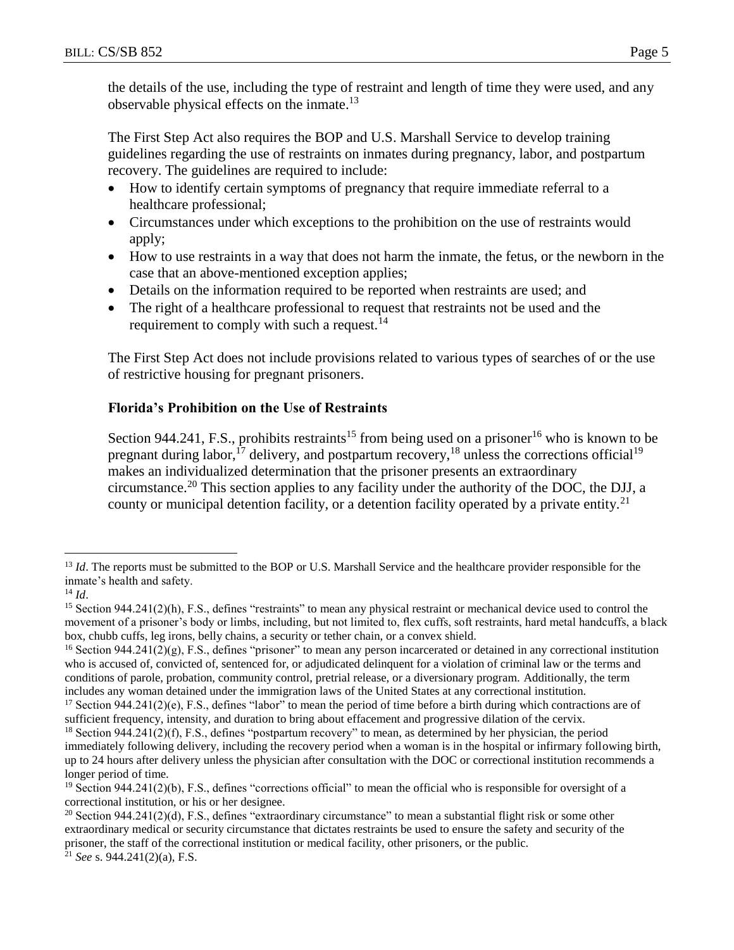the details of the use, including the type of restraint and length of time they were used, and any observable physical effects on the inmate.<sup>13</sup>

The First Step Act also requires the BOP and U.S. Marshall Service to develop training guidelines regarding the use of restraints on inmates during pregnancy, labor, and postpartum recovery. The guidelines are required to include:

- How to identify certain symptoms of pregnancy that require immediate referral to a healthcare professional;
- Circumstances under which exceptions to the prohibition on the use of restraints would apply;
- How to use restraints in a way that does not harm the inmate, the fetus, or the newborn in the case that an above-mentioned exception applies;
- Details on the information required to be reported when restraints are used; and
- The right of a healthcare professional to request that restraints not be used and the requirement to comply with such a request.<sup>14</sup>

The First Step Act does not include provisions related to various types of searches of or the use of restrictive housing for pregnant prisoners.

## **Florida's Prohibition on the Use of Restraints**

Section 944.241, F.S., prohibits restraints<sup>15</sup> from being used on a prisoner<sup>16</sup> who is known to be pregnant during labor,<sup>17</sup> delivery, and postpartum recovery,<sup>18</sup> unless the corrections official<sup>19</sup> makes an individualized determination that the prisoner presents an extraordinary circumstance.<sup>20</sup> This section applies to any facility under the authority of the DOC, the DJJ, a county or municipal detention facility, or a detention facility operated by a private entity.<sup>21</sup>

<sup>&</sup>lt;sup>13</sup> *Id*. The reports must be submitted to the BOP or U.S. Marshall Service and the healthcare provider responsible for the inmate's health and safety.

<sup>14</sup> *Id*.

<sup>&</sup>lt;sup>15</sup> Section 944.241(2)(h), F.S., defines "restraints" to mean any physical restraint or mechanical device used to control the movement of a prisoner's body or limbs, including, but not limited to, flex cuffs, soft restraints, hard metal handcuffs, a black box, chubb cuffs, leg irons, belly chains, a security or tether chain, or a convex shield.

 $16$  Section 944.241(2)(g), F.S., defines "prisoner" to mean any person incarcerated or detained in any correctional institution who is accused of, convicted of, sentenced for, or adjudicated delinquent for a violation of criminal law or the terms and conditions of parole, probation, community control, pretrial release, or a diversionary program. Additionally, the term includes any woman detained under the immigration laws of the United States at any correctional institution.

<sup>&</sup>lt;sup>17</sup> Section 944.241(2)(e), F.S., defines "labor" to mean the period of time before a birth during which contractions are of sufficient frequency, intensity, and duration to bring about effacement and progressive dilation of the cervix.

 $18$  Section 944.241(2)(f), F.S., defines "postpartum recovery" to mean, as determined by her physician, the period immediately following delivery, including the recovery period when a woman is in the hospital or infirmary following birth, up to 24 hours after delivery unless the physician after consultation with the DOC or correctional institution recommends a longer period of time.

<sup>&</sup>lt;sup>19</sup> Section 944.241(2)(b), F.S., defines "corrections official" to mean the official who is responsible for oversight of a correctional institution, or his or her designee.

<sup>&</sup>lt;sup>20</sup> Section 944.241(2)(d), F.S., defines "extraordinary circumstance" to mean a substantial flight risk or some other extraordinary medical or security circumstance that dictates restraints be used to ensure the safety and security of the prisoner, the staff of the correctional institution or medical facility, other prisoners, or the public.

<sup>21</sup> *See* s. 944.241(2)(a), F.S.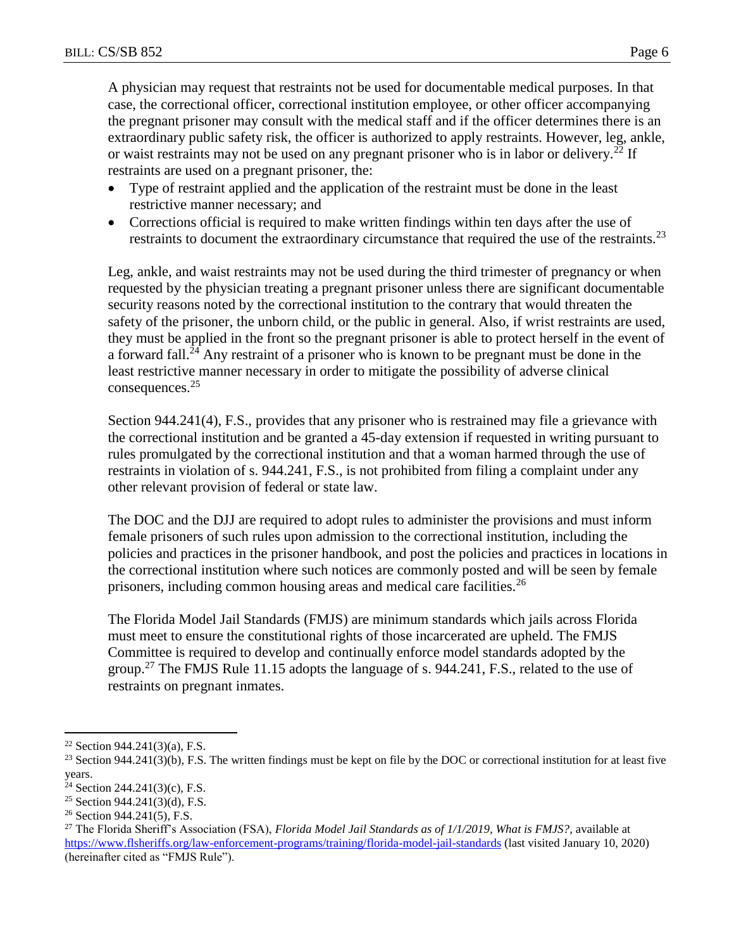A physician may request that restraints not be used for documentable medical purposes. In that case, the correctional officer, correctional institution employee, or other officer accompanying the pregnant prisoner may consult with the medical staff and if the officer determines there is an extraordinary public safety risk, the officer is authorized to apply restraints. However, leg, ankle, or waist restraints may not be used on any pregnant prisoner who is in labor or delivery.<sup>22</sup> If restraints are used on a pregnant prisoner, the:

- Type of restraint applied and the application of the restraint must be done in the least restrictive manner necessary; and
- Corrections official is required to make written findings within ten days after the use of restraints to document the extraordinary circumstance that required the use of the restraints.<sup>23</sup>

Leg, ankle, and waist restraints may not be used during the third trimester of pregnancy or when requested by the physician treating a pregnant prisoner unless there are significant documentable security reasons noted by the correctional institution to the contrary that would threaten the safety of the prisoner, the unborn child, or the public in general. Also, if wrist restraints are used, they must be applied in the front so the pregnant prisoner is able to protect herself in the event of a forward fall.<sup>24</sup> Any restraint of a prisoner who is known to be pregnant must be done in the least restrictive manner necessary in order to mitigate the possibility of adverse clinical consequences.<sup>25</sup>

Section 944.241(4), F.S., provides that any prisoner who is restrained may file a grievance with the correctional institution and be granted a 45-day extension if requested in writing pursuant to rules promulgated by the correctional institution and that a woman harmed through the use of restraints in violation of s. 944.241, F.S., is not prohibited from filing a complaint under any other relevant provision of federal or state law.

The DOC and the DJJ are required to adopt rules to administer the provisions and must inform female prisoners of such rules upon admission to the correctional institution, including the policies and practices in the prisoner handbook, and post the policies and practices in locations in the correctional institution where such notices are commonly posted and will be seen by female prisoners, including common housing areas and medical care facilities.<sup>26</sup>

The Florida Model Jail Standards (FMJS) are minimum standards which jails across Florida must meet to ensure the constitutional rights of those incarcerated are upheld. The FMJS Committee is required to develop and continually enforce model standards adopted by the group.<sup>27</sup> The FMJS Rule 11.15 adopts the language of s. 944.241, F.S., related to the use of restraints on pregnant inmates.

 $\overline{a}$  $22$  Section 944.241(3)(a), F.S.

<sup>&</sup>lt;sup>23</sup> Section 944.241(3)(b), F.S. The written findings must be kept on file by the DOC or correctional institution for at least five years.

<sup>&</sup>lt;sup>24</sup> Section 244.241(3)(c), F.S.

<sup>&</sup>lt;sup>25</sup> Section 944.241(3)(d), F.S.

<sup>26</sup> Section 944.241(5), F.S.

<sup>27</sup> The Florida Sheriff's Association (FSA), *Florida Model Jail Standards as of 1/1/2019, What is FMJS?*, available at <https://www.flsheriffs.org/law-enforcement-programs/training/florida-model-jail-standards> (last visited January 10, 2020) (hereinafter cited as "FMJS Rule").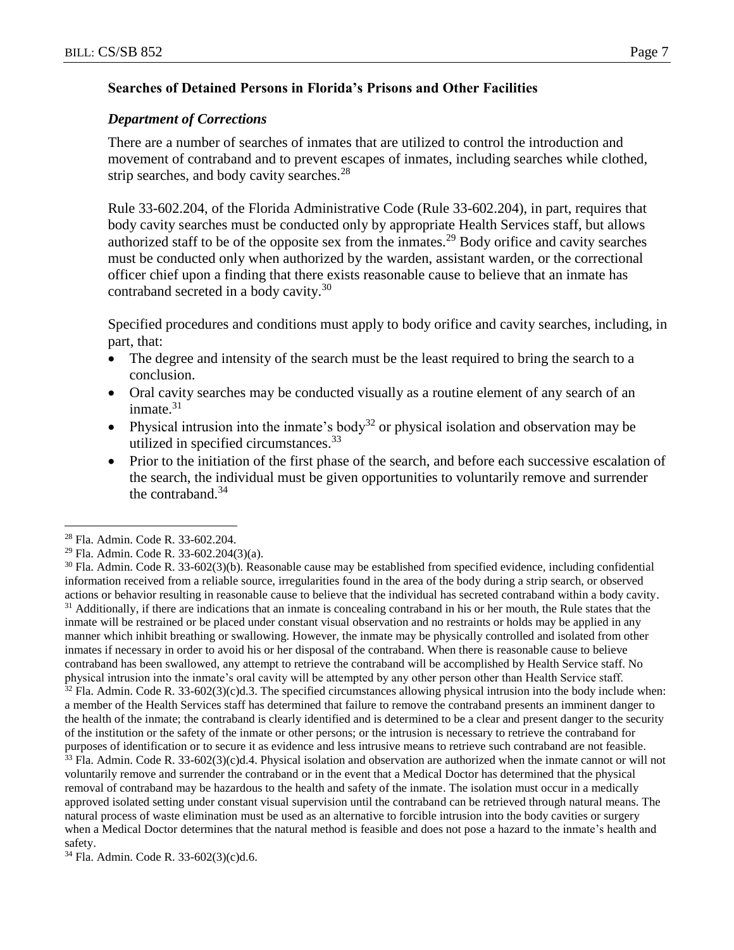#### **Searches of Detained Persons in Florida's Prisons and Other Facilities**

#### *Department of Corrections*

There are a number of searches of inmates that are utilized to control the introduction and movement of contraband and to prevent escapes of inmates, including searches while clothed, strip searches, and body cavity searches. $28$ 

Rule 33-602.204, of the Florida Administrative Code (Rule 33-602.204), in part, requires that body cavity searches must be conducted only by appropriate Health Services staff, but allows authorized staff to be of the opposite sex from the inmates.<sup>29</sup> Body orifice and cavity searches must be conducted only when authorized by the warden, assistant warden, or the correctional officer chief upon a finding that there exists reasonable cause to believe that an inmate has contraband secreted in a body cavity.<sup>30</sup>

Specified procedures and conditions must apply to body orifice and cavity searches, including, in part, that:

- The degree and intensity of the search must be the least required to bring the search to a conclusion.
- Oral cavity searches may be conducted visually as a routine element of any search of an inmate.<sup>31</sup>
- Physical intrusion into the inmate's body<sup>32</sup> or physical isolation and observation may be utilized in specified circumstances.<sup>33</sup>
- Prior to the initiation of the first phase of the search, and before each successive escalation of the search, the individual must be given opportunities to voluntarily remove and surrender the contraband. $34$

 $\overline{a}$ 

 $30$  Fla. Admin. Code R. 33-602(3)(b). Reasonable cause may be established from specified evidence, including confidential information received from a reliable source, irregularities found in the area of the body during a strip search, or observed actions or behavior resulting in reasonable cause to believe that the individual has secreted contraband within a body cavity. <sup>31</sup> Additionally, if there are indications that an inmate is concealing contraband in his or her mouth, the Rule states that the inmate will be restrained or be placed under constant visual observation and no restraints or holds may be applied in any manner which inhibit breathing or swallowing. However, the inmate may be physically controlled and isolated from other inmates if necessary in order to avoid his or her disposal of the contraband. When there is reasonable cause to believe contraband has been swallowed, any attempt to retrieve the contraband will be accomplished by Health Service staff. No physical intrusion into the inmate's oral cavity will be attempted by any other person other than Health Service staff.

 $32$  Fla. Admin. Code R. 33-602(3)(c)d.3. The specified circumstances allowing physical intrusion into the body include when: a member of the Health Services staff has determined that failure to remove the contraband presents an imminent danger to the health of the inmate; the contraband is clearly identified and is determined to be a clear and present danger to the security of the institution or the safety of the inmate or other persons; or the intrusion is necessary to retrieve the contraband for purposes of identification or to secure it as evidence and less intrusive means to retrieve such contraband are not feasible.

 $33$  Fla. Admin. Code R.  $33-602(3)(c)d.4$ . Physical isolation and observation are authorized when the inmate cannot or will not voluntarily remove and surrender the contraband or in the event that a Medical Doctor has determined that the physical removal of contraband may be hazardous to the health and safety of the inmate. The isolation must occur in a medically approved isolated setting under constant visual supervision until the contraband can be retrieved through natural means. The natural process of waste elimination must be used as an alternative to forcible intrusion into the body cavities or surgery when a Medical Doctor determines that the natural method is feasible and does not pose a hazard to the inmate's health and safety.

<sup>34</sup> Fla. Admin. Code R. 33-602(3)(c)d.6.

<sup>28</sup> Fla. Admin. Code R. 33-602.204.

<sup>29</sup> Fla. Admin. Code R. 33-602.204(3)(a).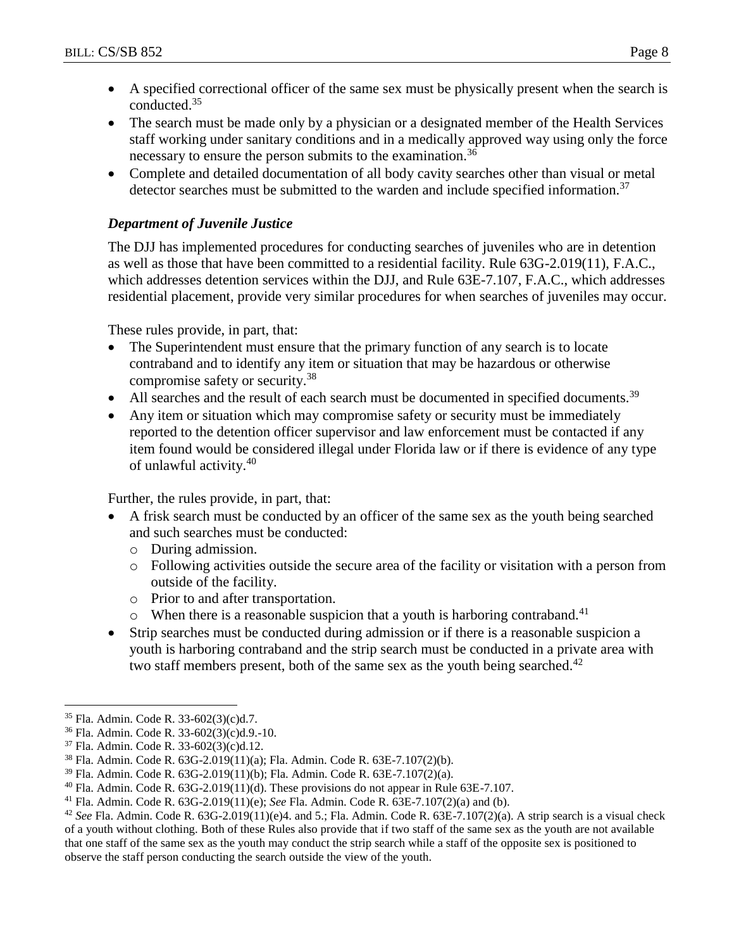- A specified correctional officer of the same sex must be physically present when the search is conducted.<sup>35</sup>
- The search must be made only by a physician or a designated member of the Health Services staff working under sanitary conditions and in a medically approved way using only the force necessary to ensure the person submits to the examination.<sup>36</sup>
- Complete and detailed documentation of all body cavity searches other than visual or metal detector searches must be submitted to the warden and include specified information.<sup>37</sup>

## *Department of Juvenile Justice*

The DJJ has implemented procedures for conducting searches of juveniles who are in detention as well as those that have been committed to a residential facility. Rule 63G-2.019(11), F.A.C., which addresses detention services within the DJJ, and Rule 63E-7.107, F.A.C., which addresses residential placement, provide very similar procedures for when searches of juveniles may occur.

These rules provide, in part, that:

- The Superintendent must ensure that the primary function of any search is to locate contraband and to identify any item or situation that may be hazardous or otherwise compromise safety or security.<sup>38</sup>
- All searches and the result of each search must be documented in specified documents.<sup>39</sup>
- Any item or situation which may compromise safety or security must be immediately reported to the detention officer supervisor and law enforcement must be contacted if any item found would be considered illegal under Florida law or if there is evidence of any type of unlawful activity.<sup>40</sup>

Further, the rules provide, in part, that:

- A frisk search must be conducted by an officer of the same sex as the youth being searched and such searches must be conducted:
	- o During admission.
	- o Following activities outside the secure area of the facility or visitation with a person from outside of the facility.
	- o Prior to and after transportation.
	- $\circ$  When there is a reasonable suspicion that a youth is harboring contraband.<sup>41</sup>
- Strip searches must be conducted during admission or if there is a reasonable suspicion a youth is harboring contraband and the strip search must be conducted in a private area with two staff members present, both of the same sex as the youth being searched.<sup>42</sup>

<sup>35</sup> Fla. Admin. Code R. 33-602(3)(c)d.7.

<sup>36</sup> Fla. Admin. Code R. 33-602(3)(c)d.9.-10.

<sup>37</sup> Fla. Admin. Code R. 33-602(3)(c)d.12.

<sup>38</sup> Fla. Admin. Code R. 63G-2.019(11)(a); Fla. Admin. Code R. 63E-7.107(2)(b).

<sup>39</sup> Fla. Admin. Code R. 63G-2.019(11)(b); Fla. Admin. Code R. 63E-7.107(2)(a).

<sup>&</sup>lt;sup>40</sup> Fla. Admin. Code R.  $63G-2.019(11)(d)$ . These provisions do not appear in Rule  $63E-7.107$ .

<sup>41</sup> Fla. Admin. Code R. 63G-2.019(11)(e); *See* Fla. Admin. Code R. 63E-7.107(2)(a) and (b).

 $42$  *See* Fla. Admin. Code R. 63G-2.019(11)(e)4. and 5.; Fla. Admin. Code R. 63E-7.107(2)(a). A strip search is a visual check of a youth without clothing. Both of these Rules also provide that if two staff of the same sex as the youth are not available that one staff of the same sex as the youth may conduct the strip search while a staff of the opposite sex is positioned to observe the staff person conducting the search outside the view of the youth.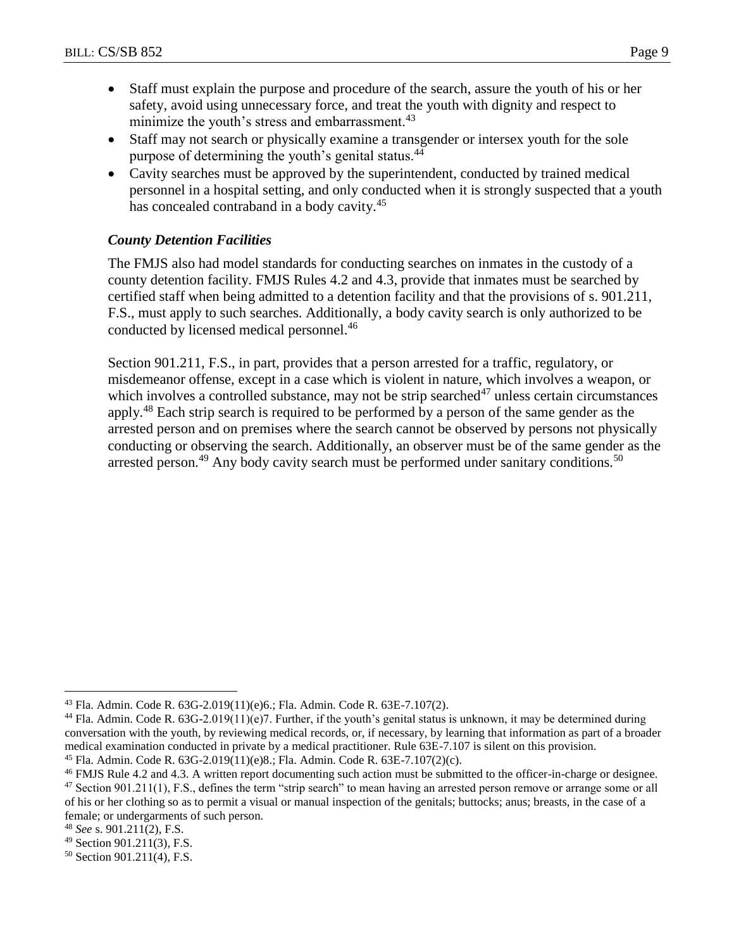- Staff must explain the purpose and procedure of the search, assure the youth of his or her safety, avoid using unnecessary force, and treat the youth with dignity and respect to minimize the youth's stress and embarrassment. $43$
- Staff may not search or physically examine a transgender or intersex youth for the sole purpose of determining the youth's genital status.<sup>44</sup>
- Cavity searches must be approved by the superintendent, conducted by trained medical personnel in a hospital setting, and only conducted when it is strongly suspected that a youth has concealed contraband in a body cavity.<sup>45</sup>

# *County Detention Facilities*

The FMJS also had model standards for conducting searches on inmates in the custody of a county detention facility. FMJS Rules 4.2 and 4.3, provide that inmates must be searched by certified staff when being admitted to a detention facility and that the provisions of s. 901.211, F.S., must apply to such searches. Additionally, a body cavity search is only authorized to be conducted by licensed medical personnel.<sup>46</sup>

Section 901.211, F.S., in part, provides that a person arrested for a traffic, regulatory, or misdemeanor offense, except in a case which is violent in nature, which involves a weapon, or which involves a controlled substance, may not be strip searched $47$  unless certain circumstances apply.<sup>48</sup> Each strip search is required to be performed by a person of the same gender as the arrested person and on premises where the search cannot be observed by persons not physically conducting or observing the search. Additionally, an observer must be of the same gender as the arrested person.<sup>49</sup> Any body cavity search must be performed under sanitary conditions.<sup>50</sup>

 $\overline{a}$ <sup>43</sup> Fla. Admin. Code R. 63G-2.019(11)(e)6.; Fla. Admin. Code R. 63E-7.107(2).

<sup>&</sup>lt;sup>44</sup> Fla. Admin. Code R. 63G-2.019(11)(e)7. Further, if the youth's genital status is unknown, it may be determined during conversation with the youth, by reviewing medical records, or, if necessary, by learning that information as part of a broader medical examination conducted in private by a medical practitioner. Rule 63E-7.107 is silent on this provision. <sup>45</sup> Fla. Admin. Code R. 63G-2.019(11)(e)8.; Fla. Admin. Code R. 63E-7.107(2)(c).

<sup>46</sup> FMJS Rule 4.2 and 4.3. A written report documenting such action must be submitted to the officer-in-charge or designee. <sup>47</sup> Section 901.211(1), F.S., defines the term "strip search" to mean having an arrested person remove or arrange some or all of his or her clothing so as to permit a visual or manual inspection of the genitals; buttocks; anus; breasts, in the case of a female; or undergarments of such person.

<sup>48</sup> *See* s. 901.211(2), F.S.

<sup>49</sup> Section 901.211(3), F.S.

<sup>50</sup> Section 901.211(4), F.S.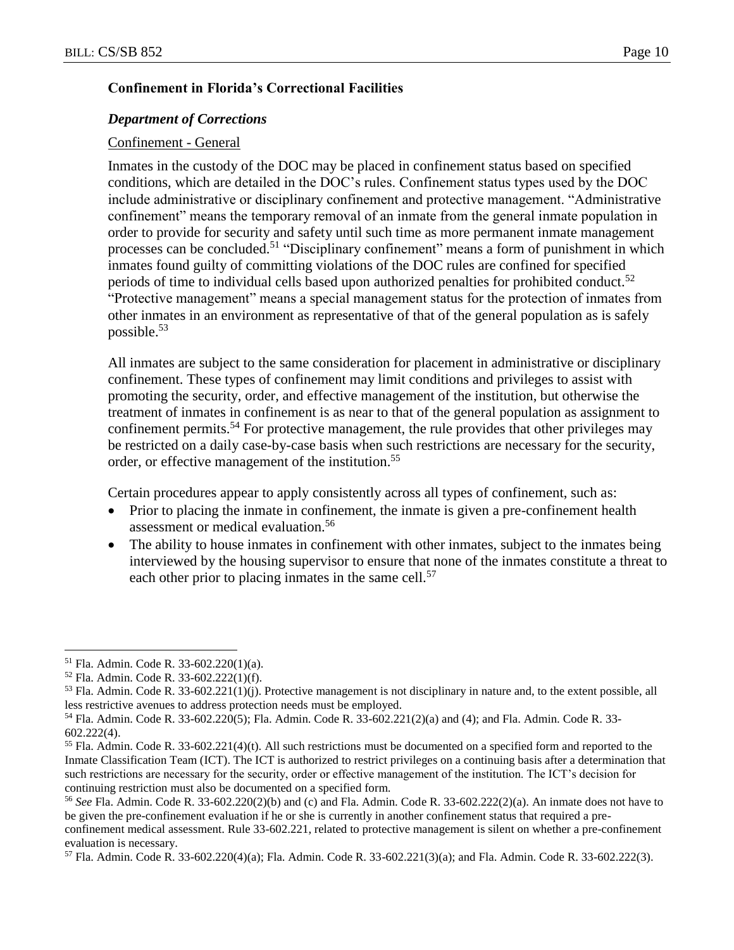#### **Confinement in Florida's Correctional Facilities**

#### *Department of Corrections*

#### Confinement - General

Inmates in the custody of the DOC may be placed in confinement status based on specified conditions, which are detailed in the DOC's rules. Confinement status types used by the DOC include administrative or disciplinary confinement and protective management. "Administrative confinement" means the temporary removal of an inmate from the general inmate population in order to provide for security and safety until such time as more permanent inmate management processes can be concluded.<sup>51</sup> "Disciplinary confinement" means a form of punishment in which inmates found guilty of committing violations of the DOC rules are confined for specified periods of time to individual cells based upon authorized penalties for prohibited conduct.<sup>52</sup> "Protective management" means a special management status for the protection of inmates from other inmates in an environment as representative of that of the general population as is safely possible. $53$ 

All inmates are subject to the same consideration for placement in administrative or disciplinary confinement. These types of confinement may limit conditions and privileges to assist with promoting the security, order, and effective management of the institution, but otherwise the treatment of inmates in confinement is as near to that of the general population as assignment to confinement permits.<sup>54</sup> For protective management, the rule provides that other privileges may be restricted on a daily case-by-case basis when such restrictions are necessary for the security, order, or effective management of the institution.<sup>55</sup>

Certain procedures appear to apply consistently across all types of confinement, such as:

- Prior to placing the inmate in confinement, the inmate is given a pre-confinement health assessment or medical evaluation.<sup>56</sup>
- The ability to house inmates in confinement with other inmates, subject to the inmates being interviewed by the housing supervisor to ensure that none of the inmates constitute a threat to each other prior to placing inmates in the same cell.<sup>57</sup>

<sup>51</sup> Fla. Admin. Code R. 33-602.220(1)(a).

<sup>52</sup> Fla. Admin. Code R. 33-602.222(1)(f).

 $53$  Fla. Admin. Code R. 33-602.221(1)(j). Protective management is not disciplinary in nature and, to the extent possible, all less restrictive avenues to address protection needs must be employed.

<sup>54</sup> Fla. Admin. Code R. 33-602.220(5); Fla. Admin. Code R. 33-602.221(2)(a) and (4); and Fla. Admin. Code R. 33- 602.222(4).

 $<sup>55</sup>$  Fla. Admin. Code R. 33-602.221(4)(t). All such restrictions must be documented on a specified form and reported to the</sup> Inmate Classification Team (ICT). The ICT is authorized to restrict privileges on a continuing basis after a determination that such restrictions are necessary for the security, order or effective management of the institution. The ICT's decision for continuing restriction must also be documented on a specified form.

<sup>56</sup> *See* Fla. Admin. Code R. 33-602.220(2)(b) and (c) and Fla. Admin. Code R. 33-602.222(2)(a). An inmate does not have to be given the pre-confinement evaluation if he or she is currently in another confinement status that required a pre-

confinement medical assessment. Rule 33-602.221, related to protective management is silent on whether a pre-confinement evaluation is necessary.

<sup>57</sup> Fla. Admin. Code R. 33-602.220(4)(a); Fla. Admin. Code R. 33-602.221(3)(a); and Fla. Admin. Code R. 33-602.222(3).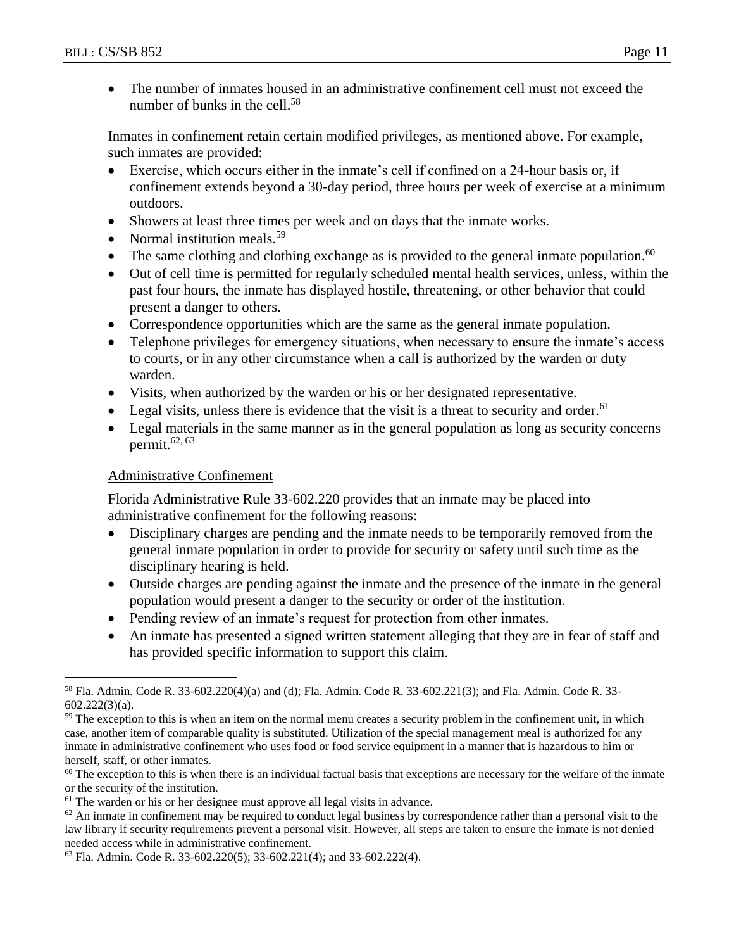The number of inmates housed in an administrative confinement cell must not exceed the number of bunks in the cell.<sup>58</sup>

Inmates in confinement retain certain modified privileges, as mentioned above. For example, such inmates are provided:

- Exercise, which occurs either in the inmate's cell if confined on a 24-hour basis or, if confinement extends beyond a 30-day period, three hours per week of exercise at a minimum outdoors.
- Showers at least three times per week and on days that the inmate works.
- Normal institution meals.<sup>59</sup>
- The same clothing and clothing exchange as is provided to the general inmate population.<sup>60</sup>
- Out of cell time is permitted for regularly scheduled mental health services, unless, within the past four hours, the inmate has displayed hostile, threatening, or other behavior that could present a danger to others.
- Correspondence opportunities which are the same as the general inmate population.
- Telephone privileges for emergency situations, when necessary to ensure the inmate's access to courts, or in any other circumstance when a call is authorized by the warden or duty warden.
- Visits, when authorized by the warden or his or her designated representative.
- Legal visits, unless there is evidence that the visit is a threat to security and order.<sup>61</sup>
- Legal materials in the same manner as in the general population as long as security concerns permit. $62, 63$

# Administrative Confinement

 $\overline{a}$ 

Florida Administrative Rule 33-602.220 provides that an inmate may be placed into administrative confinement for the following reasons:

- Disciplinary charges are pending and the inmate needs to be temporarily removed from the general inmate population in order to provide for security or safety until such time as the disciplinary hearing is held.
- Outside charges are pending against the inmate and the presence of the inmate in the general population would present a danger to the security or order of the institution.
- Pending review of an inmate's request for protection from other inmates.
- An inmate has presented a signed written statement alleging that they are in fear of staff and has provided specific information to support this claim.

<sup>58</sup> Fla. Admin. Code R. 33-602.220(4)(a) and (d); Fla. Admin. Code R. 33-602.221(3); and Fla. Admin. Code R. 33- 602.222(3)(a).

<sup>&</sup>lt;sup>59</sup> The exception to this is when an item on the normal menu creates a security problem in the confinement unit, in which case, another item of comparable quality is substituted. Utilization of the special management meal is authorized for any inmate in administrative confinement who uses food or food service equipment in a manner that is hazardous to him or herself, staff, or other inmates.

 $60$  The exception to this is when there is an individual factual basis that exceptions are necessary for the welfare of the inmate or the security of the institution.

<sup>&</sup>lt;sup>61</sup> The warden or his or her designee must approve all legal visits in advance.

 $62$  An inmate in confinement may be required to conduct legal business by correspondence rather than a personal visit to the law library if security requirements prevent a personal visit. However, all steps are taken to ensure the inmate is not denied needed access while in administrative confinement.

<sup>63</sup> Fla. Admin. Code R. 33-602.220(5); 33-602.221(4); and 33-602.222(4).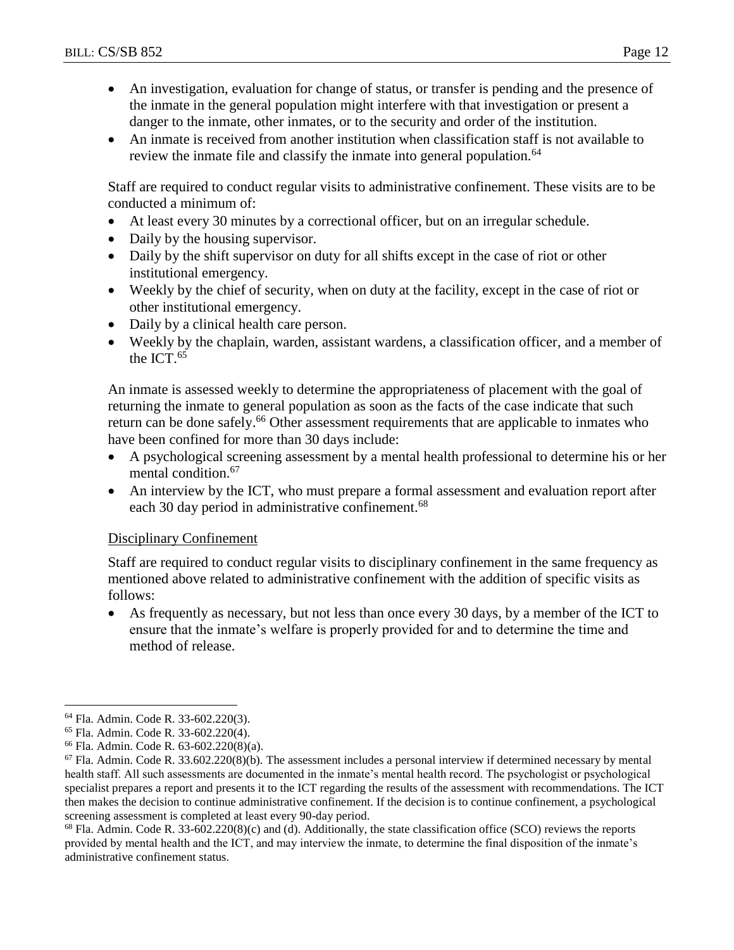- An investigation, evaluation for change of status, or transfer is pending and the presence of the inmate in the general population might interfere with that investigation or present a danger to the inmate, other inmates, or to the security and order of the institution.
- An inmate is received from another institution when classification staff is not available to review the inmate file and classify the inmate into general population.<sup>64</sup>

Staff are required to conduct regular visits to administrative confinement. These visits are to be conducted a minimum of:

- At least every 30 minutes by a correctional officer, but on an irregular schedule.
- Daily by the housing supervisor.
- Daily by the shift supervisor on duty for all shifts except in the case of riot or other institutional emergency.
- Weekly by the chief of security, when on duty at the facility, except in the case of riot or other institutional emergency.
- Daily by a clinical health care person.
- Weekly by the chaplain, warden, assistant wardens, a classification officer, and a member of the ICT.<sup>65</sup>

An inmate is assessed weekly to determine the appropriateness of placement with the goal of returning the inmate to general population as soon as the facts of the case indicate that such return can be done safely.<sup>66</sup> Other assessment requirements that are applicable to inmates who have been confined for more than 30 days include:

- A psychological screening assessment by a mental health professional to determine his or her mental condition.<sup>67</sup>
- An interview by the ICT, who must prepare a formal assessment and evaluation report after each 30 day period in administrative confinement.<sup>68</sup>

### Disciplinary Confinement

Staff are required to conduct regular visits to disciplinary confinement in the same frequency as mentioned above related to administrative confinement with the addition of specific visits as follows:

 As frequently as necessary, but not less than once every 30 days, by a member of the ICT to ensure that the inmate's welfare is properly provided for and to determine the time and method of release.

 $68$  Fla. Admin. Code R. 33-602.220(8)(c) and (d). Additionally, the state classification office (SCO) reviews the reports provided by mental health and the ICT, and may interview the inmate, to determine the final disposition of the inmate's administrative confinement status.

 $\overline{a}$ <sup>64</sup> Fla. Admin. Code R. 33-602.220(3).

<sup>65</sup> Fla. Admin. Code R. 33-602.220(4).

<sup>66</sup> Fla. Admin. Code R. 63-602.220(8)(a).

 $67$  Fla. Admin. Code R. 33.602.220(8)(b). The assessment includes a personal interview if determined necessary by mental health staff. All such assessments are documented in the inmate's mental health record. The psychologist or psychological specialist prepares a report and presents it to the ICT regarding the results of the assessment with recommendations. The ICT then makes the decision to continue administrative confinement. If the decision is to continue confinement, a psychological screening assessment is completed at least every 90-day period.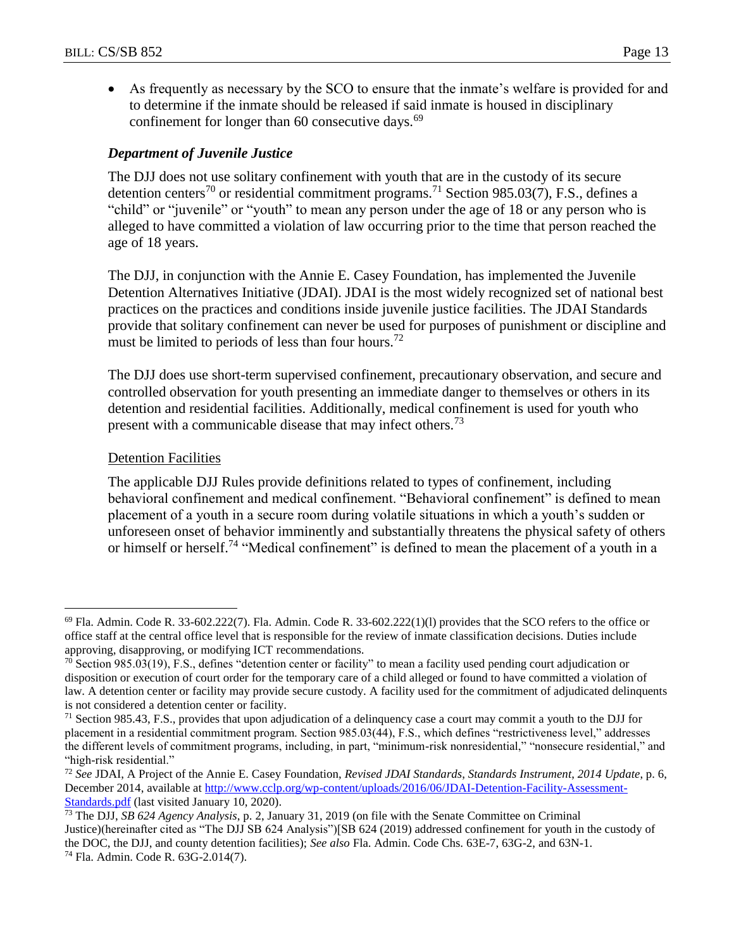As frequently as necessary by the SCO to ensure that the inmate's welfare is provided for and to determine if the inmate should be released if said inmate is housed in disciplinary confinement for longer than  $60$  consecutive days.<sup>69</sup>

#### *Department of Juvenile Justice*

The DJJ does not use solitary confinement with youth that are in the custody of its secure detention centers<sup>70</sup> or residential commitment programs.<sup>71</sup> Section 985.03(7), F.S., defines a "child" or "juvenile" or "youth" to mean any person under the age of 18 or any person who is alleged to have committed a violation of law occurring prior to the time that person reached the age of 18 years.

The DJJ, in conjunction with the Annie E. Casey Foundation, has implemented the Juvenile Detention Alternatives Initiative (JDAI). JDAI is the most widely recognized set of national best practices on the practices and conditions inside juvenile justice facilities. The JDAI Standards provide that solitary confinement can never be used for purposes of punishment or discipline and must be limited to periods of less than four hours.<sup>72</sup>

The DJJ does use short-term supervised confinement, precautionary observation, and secure and controlled observation for youth presenting an immediate danger to themselves or others in its detention and residential facilities. Additionally, medical confinement is used for youth who present with a communicable disease that may infect others.<sup>73</sup>

#### Detention Facilities

 $\overline{a}$ 

The applicable DJJ Rules provide definitions related to types of confinement, including behavioral confinement and medical confinement. "Behavioral confinement" is defined to mean placement of a youth in a secure room during volatile situations in which a youth's sudden or unforeseen onset of behavior imminently and substantially threatens the physical safety of others or himself or herself.<sup>74</sup> "Medical confinement" is defined to mean the placement of a youth in a

 $^{69}$  Fla. Admin. Code R. 33-602.222(7). Fla. Admin. Code R. 33-602.222(1)(1) provides that the SCO refers to the office or office staff at the central office level that is responsible for the review of inmate classification decisions. Duties include approving, disapproving, or modifying ICT recommendations.

 $70$  Section 985.03(19), F.S., defines "detention center or facility" to mean a facility used pending court adjudication or disposition or execution of court order for the temporary care of a child alleged or found to have committed a violation of law. A detention center or facility may provide secure custody. A facility used for the commitment of adjudicated delinquents is not considered a detention center or facility.

<sup>71</sup> Section 985.43, F.S., provides that upon adjudication of a delinquency case a court may commit a youth to the DJJ for placement in a residential commitment program. Section 985.03(44), F.S., which defines "restrictiveness level," addresses the different levels of commitment programs, including, in part, "minimum-risk nonresidential," "nonsecure residential," and "high-risk residential."

<sup>72</sup> *See* JDAI, A Project of the Annie E. Casey Foundation, *Revised JDAI Standards*, *Standards Instrument*, *2014 Update*, p. 6, December 2014, available at [http://www.cclp.org/wp-content/uploads/2016/06/JDAI-Detention-Facility-Assessment-](http://www.cclp.org/wp-content/uploads/2016/06/JDAI-Detention-Facility-Assessment-Standards.pdf)[Standards.pdf](http://www.cclp.org/wp-content/uploads/2016/06/JDAI-Detention-Facility-Assessment-Standards.pdf) (last visited January 10, 2020).

<sup>73</sup> The DJJ, *SB 624 Agency Analysis*, p. 2, January 31, 2019 (on file with the Senate Committee on Criminal Justice)(hereinafter cited as "The DJJ SB 624 Analysis")[SB 624 (2019) addressed confinement for youth in the custody of the DOC, the DJJ, and county detention facilities); *See also* Fla. Admin. Code Chs. 63E-7, 63G-2, and 63N-1. <sup>74</sup> Fla. Admin. Code R. 63G-2.014(7).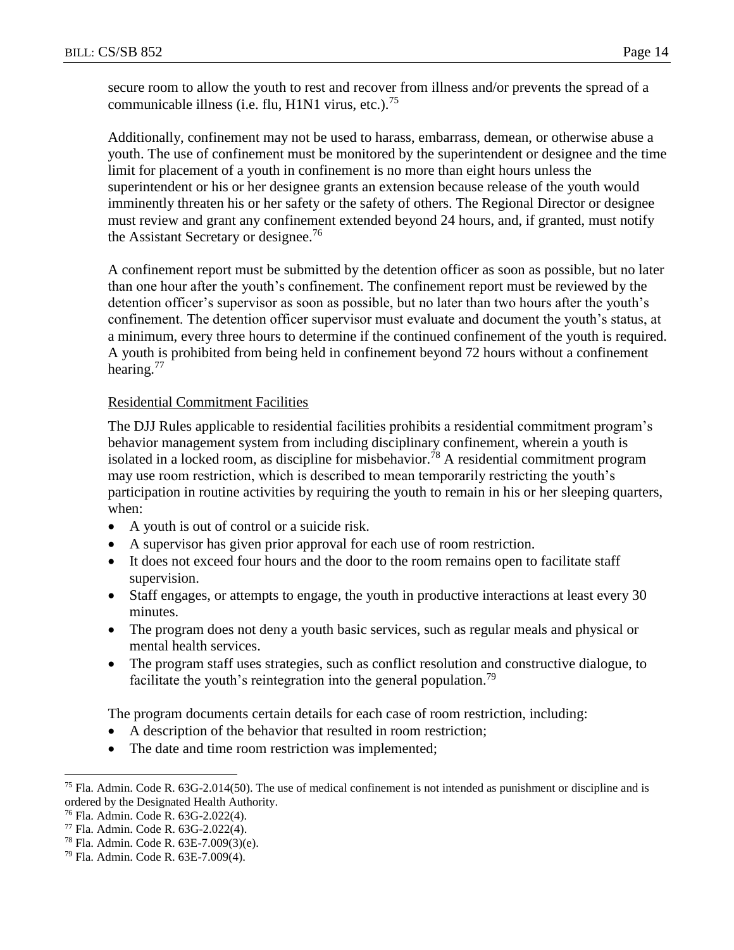secure room to allow the youth to rest and recover from illness and/or prevents the spread of a communicable illness (i.e. flu, H1N1 virus, etc.).<sup>75</sup>

Additionally, confinement may not be used to harass, embarrass, demean, or otherwise abuse a youth. The use of confinement must be monitored by the superintendent or designee and the time limit for placement of a youth in confinement is no more than eight hours unless the superintendent or his or her designee grants an extension because release of the youth would imminently threaten his or her safety or the safety of others. The Regional Director or designee must review and grant any confinement extended beyond 24 hours, and, if granted, must notify the Assistant Secretary or designee.<sup>76</sup>

A confinement report must be submitted by the detention officer as soon as possible, but no later than one hour after the youth's confinement. The confinement report must be reviewed by the detention officer's supervisor as soon as possible, but no later than two hours after the youth's confinement. The detention officer supervisor must evaluate and document the youth's status, at a minimum, every three hours to determine if the continued confinement of the youth is required. A youth is prohibited from being held in confinement beyond 72 hours without a confinement hearing.<sup>77</sup>

### Residential Commitment Facilities

The DJJ Rules applicable to residential facilities prohibits a residential commitment program's behavior management system from including disciplinary confinement, wherein a youth is isolated in a locked room, as discipline for misbehavior.<sup>78</sup> A residential commitment program may use room restriction, which is described to mean temporarily restricting the youth's participation in routine activities by requiring the youth to remain in his or her sleeping quarters, when:

- A youth is out of control or a suicide risk.
- A supervisor has given prior approval for each use of room restriction.
- It does not exceed four hours and the door to the room remains open to facilitate staff supervision.
- Staff engages, or attempts to engage, the youth in productive interactions at least every 30 minutes.
- The program does not deny a youth basic services, such as regular meals and physical or mental health services.
- The program staff uses strategies, such as conflict resolution and constructive dialogue, to facilitate the youth's reintegration into the general population.<sup>79</sup>

The program documents certain details for each case of room restriction, including:

- A description of the behavior that resulted in room restriction;
- The date and time room restriction was implemented;

 $\overline{a}$  $<sup>75</sup>$  Fla. Admin. Code R. 63G-2.014(50). The use of medical confinement is not intended as punishment or discipline and is</sup> ordered by the Designated Health Authority.

<sup>76</sup> Fla. Admin. Code R. 63G-2.022(4).

<sup>77</sup> Fla. Admin. Code R. 63G-2.022(4).

<sup>78</sup> Fla. Admin. Code R. 63E-7.009(3)(e).

<sup>79</sup> Fla. Admin. Code R. 63E-7.009(4).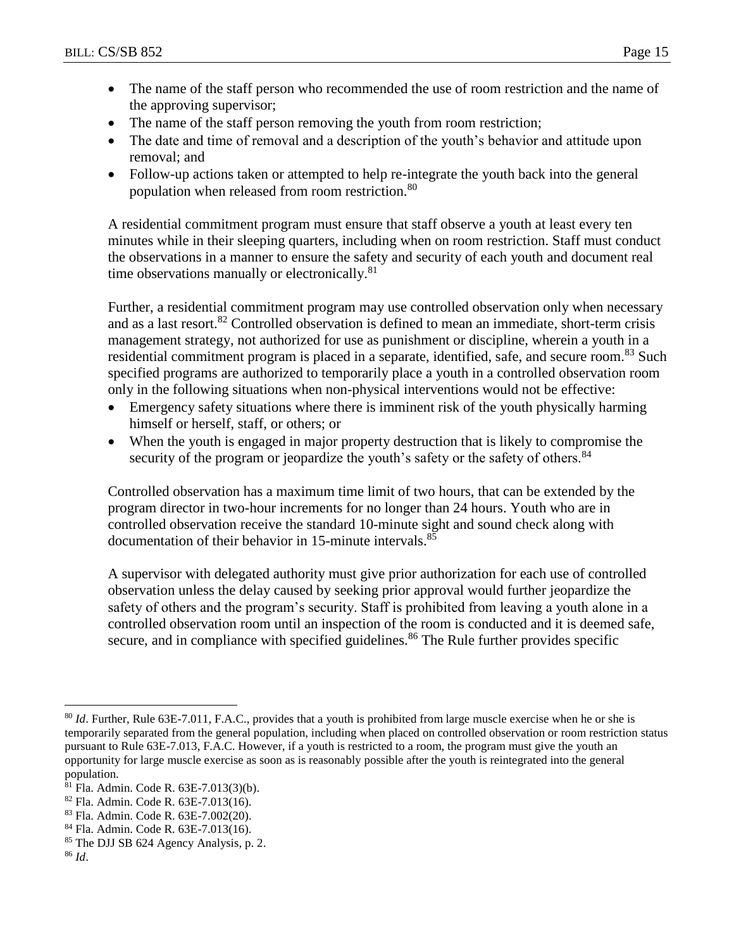- The name of the staff person who recommended the use of room restriction and the name of the approving supervisor;
- The name of the staff person removing the youth from room restriction;
- The date and time of removal and a description of the youth's behavior and attitude upon removal; and
- Follow-up actions taken or attempted to help re-integrate the youth back into the general population when released from room restriction.<sup>80</sup>

A residential commitment program must ensure that staff observe a youth at least every ten minutes while in their sleeping quarters, including when on room restriction. Staff must conduct the observations in a manner to ensure the safety and security of each youth and document real time observations manually or electronically.<sup>81</sup>

Further, a residential commitment program may use controlled observation only when necessary and as a last resort.<sup>82</sup> Controlled observation is defined to mean an immediate, short-term crisis management strategy, not authorized for use as punishment or discipline, wherein a youth in a residential commitment program is placed in a separate, identified, safe, and secure room.<sup>83</sup> Such specified programs are authorized to temporarily place a youth in a controlled observation room only in the following situations when non-physical interventions would not be effective:

- Emergency safety situations where there is imminent risk of the youth physically harming himself or herself, staff, or others; or
- When the youth is engaged in major property destruction that is likely to compromise the security of the program or jeopardize the youth's safety or the safety of others.<sup>84</sup>

Controlled observation has a maximum time limit of two hours, that can be extended by the program director in two-hour increments for no longer than 24 hours. Youth who are in controlled observation receive the standard 10-minute sight and sound check along with documentation of their behavior in 15-minute intervals.<sup>85</sup>

A supervisor with delegated authority must give prior authorization for each use of controlled observation unless the delay caused by seeking prior approval would further jeopardize the safety of others and the program's security. Staff is prohibited from leaving a youth alone in a controlled observation room until an inspection of the room is conducted and it is deemed safe, secure, and in compliance with specified guidelines.<sup>86</sup> The Rule further provides specific

 $\overline{a}$ <sup>80</sup> *Id*. Further, Rule 63E-7.011, F.A.C., provides that a youth is prohibited from large muscle exercise when he or she is temporarily separated from the general population, including when placed on controlled observation or room restriction status pursuant to Rule 63E-7.013, F.A.C. However, if a youth is restricted to a room, the program must give the youth an opportunity for large muscle exercise as soon as is reasonably possible after the youth is reintegrated into the general population.

<sup>81</sup> Fla. Admin. Code R. 63E-7.013(3)(b).

<sup>82</sup> Fla. Admin. Code R. 63E-7.013(16).

<sup>83</sup> Fla. Admin. Code R. 63E-7.002(20).

<sup>84</sup> Fla. Admin. Code R. 63E-7.013(16).

<sup>85</sup> The DJJ SB 624 Agency Analysis, p. 2.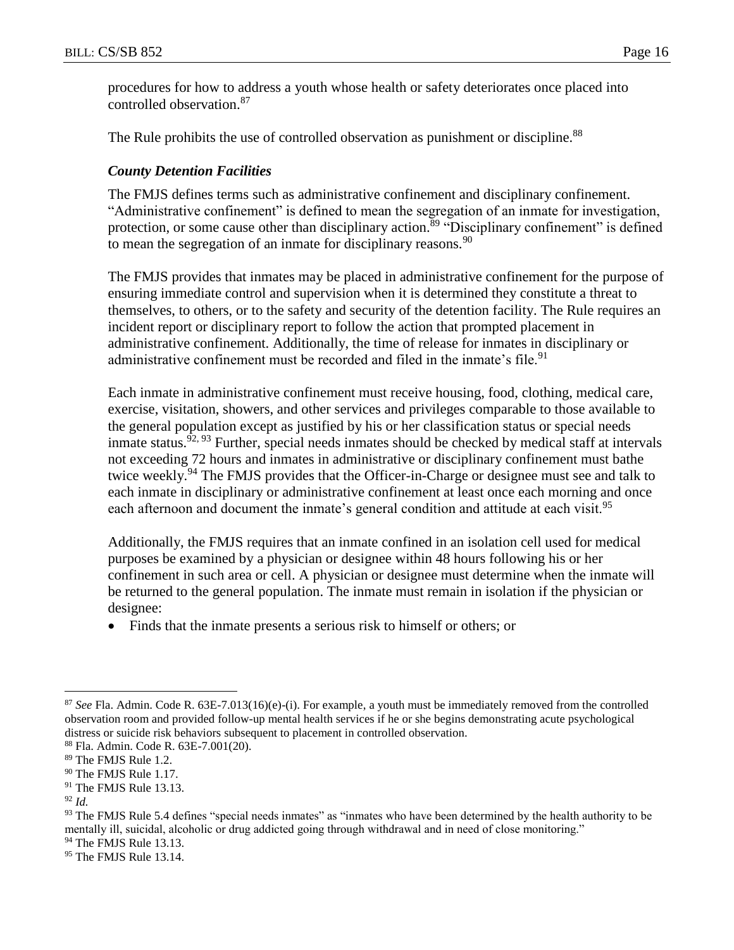procedures for how to address a youth whose health or safety deteriorates once placed into controlled observation.<sup>87</sup>

The Rule prohibits the use of controlled observation as punishment or discipline.<sup>88</sup>

#### *County Detention Facilities*

The FMJS defines terms such as administrative confinement and disciplinary confinement. "Administrative confinement" is defined to mean the segregation of an inmate for investigation, protection, or some cause other than disciplinary action.<sup>89</sup> "Disciplinary confinement" is defined to mean the segregation of an inmate for disciplinary reasons.  $90$ 

The FMJS provides that inmates may be placed in administrative confinement for the purpose of ensuring immediate control and supervision when it is determined they constitute a threat to themselves, to others, or to the safety and security of the detention facility. The Rule requires an incident report or disciplinary report to follow the action that prompted placement in administrative confinement. Additionally, the time of release for inmates in disciplinary or administrative confinement must be recorded and filed in the inmate's file.<sup>91</sup>

Each inmate in administrative confinement must receive housing, food, clothing, medical care, exercise, visitation, showers, and other services and privileges comparable to those available to the general population except as justified by his or her classification status or special needs inmate status.<sup> $92, 93$ </sup> Further, special needs inmates should be checked by medical staff at intervals not exceeding 72 hours and inmates in administrative or disciplinary confinement must bathe twice weekly.<sup>94</sup> The FMJS provides that the Officer-in-Charge or designee must see and talk to each inmate in disciplinary or administrative confinement at least once each morning and once each afternoon and document the inmate's general condition and attitude at each visit.<sup>95</sup>

Additionally, the FMJS requires that an inmate confined in an isolation cell used for medical purposes be examined by a physician or designee within 48 hours following his or her confinement in such area or cell. A physician or designee must determine when the inmate will be returned to the general population. The inmate must remain in isolation if the physician or designee:

Finds that the inmate presents a serious risk to himself or others; or

<sup>87</sup> *See* Fla. Admin. Code R. 63E-7.013(16)(e)-(i). For example, a youth must be immediately removed from the controlled observation room and provided follow-up mental health services if he or she begins demonstrating acute psychological distress or suicide risk behaviors subsequent to placement in controlled observation.

<sup>88</sup> Fla. Admin. Code R. 63E-7.001(20).

<sup>89</sup> The FMJS Rule 1.2.

<sup>&</sup>lt;sup>90</sup> The FMJS Rule 1.17.

<sup>&</sup>lt;sup>91</sup> The FMJS Rule 13.13.

<sup>92</sup> *Id.*

<sup>93</sup> The FMJS Rule 5.4 defines "special needs inmates" as "inmates who have been determined by the health authority to be mentally ill, suicidal, alcoholic or drug addicted going through withdrawal and in need of close monitoring."

<sup>&</sup>lt;sup>94</sup> The FMJS Rule 13.13.

<sup>&</sup>lt;sup>95</sup> The FMJS Rule 13.14.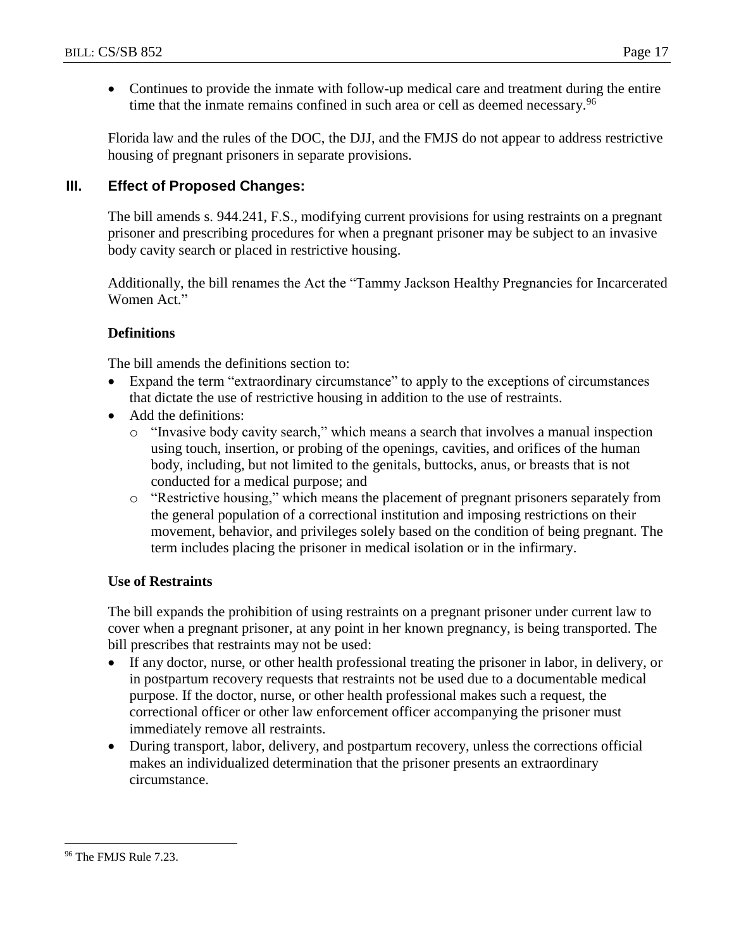• Continues to provide the inmate with follow-up medical care and treatment during the entire time that the inmate remains confined in such area or cell as deemed necessary.<sup>96</sup>

Florida law and the rules of the DOC, the DJJ, and the FMJS do not appear to address restrictive housing of pregnant prisoners in separate provisions.

### **III. Effect of Proposed Changes:**

The bill amends s. 944.241, F.S., modifying current provisions for using restraints on a pregnant prisoner and prescribing procedures for when a pregnant prisoner may be subject to an invasive body cavity search or placed in restrictive housing.

Additionally, the bill renames the Act the "Tammy Jackson Healthy Pregnancies for Incarcerated Women Act."

#### **Definitions**

The bill amends the definitions section to:

- Expand the term "extraordinary circumstance" to apply to the exceptions of circumstances that dictate the use of restrictive housing in addition to the use of restraints.
- Add the definitions:
	- o "Invasive body cavity search," which means a search that involves a manual inspection using touch, insertion, or probing of the openings, cavities, and orifices of the human body, including, but not limited to the genitals, buttocks, anus, or breasts that is not conducted for a medical purpose; and
	- o "Restrictive housing," which means the placement of pregnant prisoners separately from the general population of a correctional institution and imposing restrictions on their movement, behavior, and privileges solely based on the condition of being pregnant. The term includes placing the prisoner in medical isolation or in the infirmary.

#### **Use of Restraints**

The bill expands the prohibition of using restraints on a pregnant prisoner under current law to cover when a pregnant prisoner, at any point in her known pregnancy, is being transported. The bill prescribes that restraints may not be used:

- If any doctor, nurse, or other health professional treating the prisoner in labor, in delivery, or in postpartum recovery requests that restraints not be used due to a documentable medical purpose. If the doctor, nurse, or other health professional makes such a request, the correctional officer or other law enforcement officer accompanying the prisoner must immediately remove all restraints.
- During transport, labor, delivery, and postpartum recovery, unless the corrections official makes an individualized determination that the prisoner presents an extraordinary circumstance.

<sup>&</sup>lt;sup>96</sup> The FMJS Rule 7.23.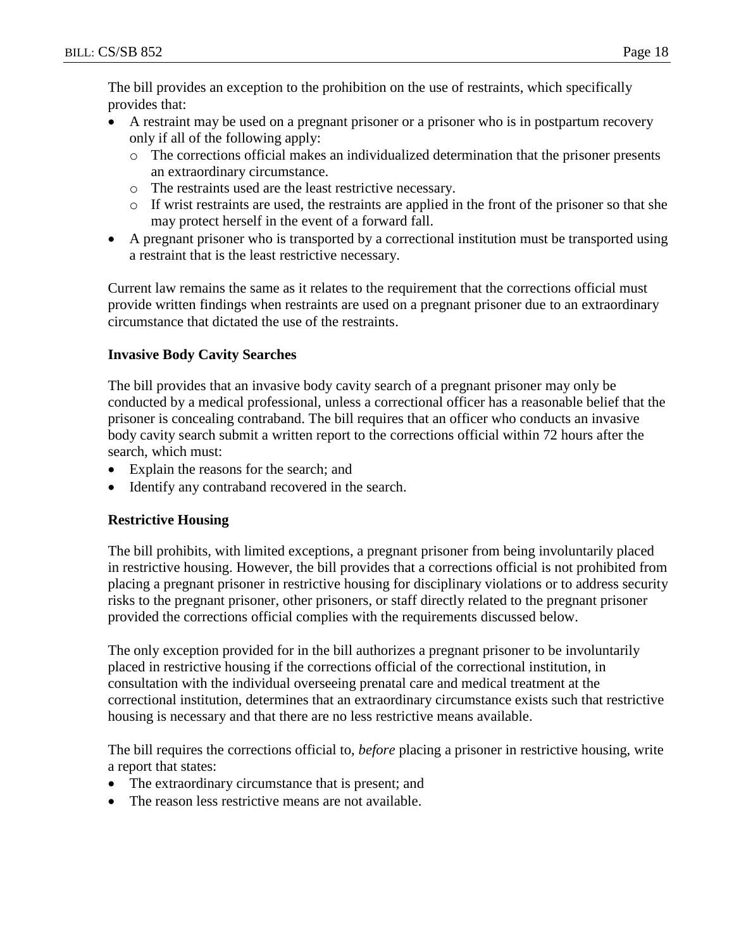The bill provides an exception to the prohibition on the use of restraints, which specifically provides that:

- A restraint may be used on a pregnant prisoner or a prisoner who is in postpartum recovery only if all of the following apply:
	- o The corrections official makes an individualized determination that the prisoner presents an extraordinary circumstance.
	- o The restraints used are the least restrictive necessary.
	- o If wrist restraints are used, the restraints are applied in the front of the prisoner so that she may protect herself in the event of a forward fall.
- A pregnant prisoner who is transported by a correctional institution must be transported using a restraint that is the least restrictive necessary.

Current law remains the same as it relates to the requirement that the corrections official must provide written findings when restraints are used on a pregnant prisoner due to an extraordinary circumstance that dictated the use of the restraints.

# **Invasive Body Cavity Searches**

The bill provides that an invasive body cavity search of a pregnant prisoner may only be conducted by a medical professional, unless a correctional officer has a reasonable belief that the prisoner is concealing contraband. The bill requires that an officer who conducts an invasive body cavity search submit a written report to the corrections official within 72 hours after the search, which must:

- Explain the reasons for the search; and
- Identify any contraband recovered in the search.

# **Restrictive Housing**

The bill prohibits, with limited exceptions, a pregnant prisoner from being involuntarily placed in restrictive housing. However, the bill provides that a corrections official is not prohibited from placing a pregnant prisoner in restrictive housing for disciplinary violations or to address security risks to the pregnant prisoner, other prisoners, or staff directly related to the pregnant prisoner provided the corrections official complies with the requirements discussed below.

The only exception provided for in the bill authorizes a pregnant prisoner to be involuntarily placed in restrictive housing if the corrections official of the correctional institution, in consultation with the individual overseeing prenatal care and medical treatment at the correctional institution, determines that an extraordinary circumstance exists such that restrictive housing is necessary and that there are no less restrictive means available.

The bill requires the corrections official to, *before* placing a prisoner in restrictive housing, write a report that states:

- The extraordinary circumstance that is present; and
- The reason less restrictive means are not available.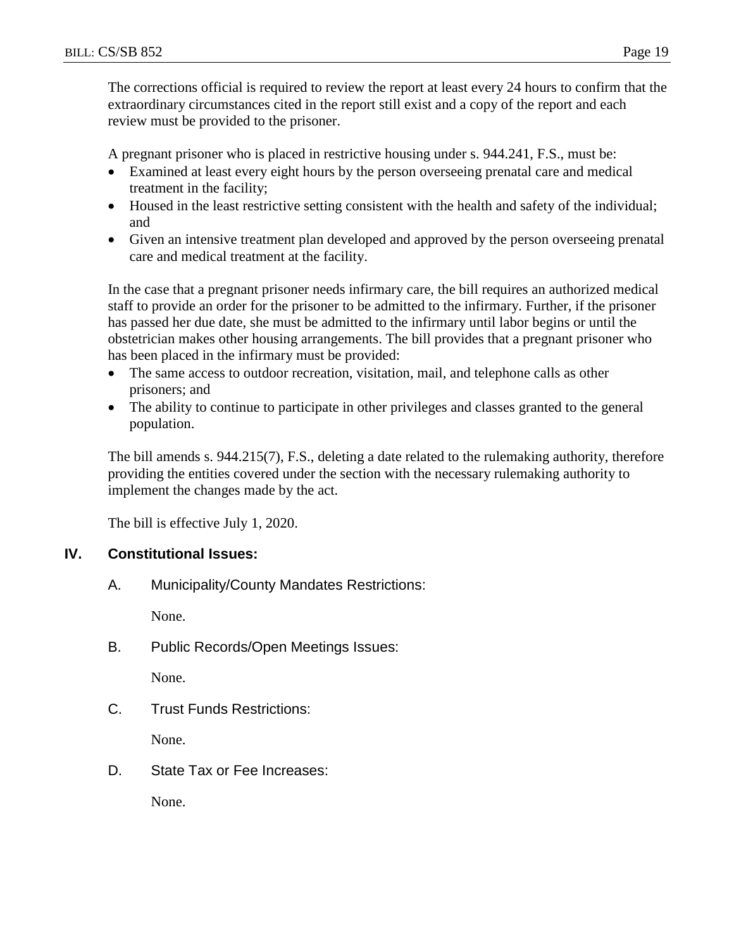The corrections official is required to review the report at least every 24 hours to confirm that the extraordinary circumstances cited in the report still exist and a copy of the report and each review must be provided to the prisoner.

A pregnant prisoner who is placed in restrictive housing under s. 944.241, F.S., must be:

- Examined at least every eight hours by the person overseeing prenatal care and medical treatment in the facility;
- Housed in the least restrictive setting consistent with the health and safety of the individual; and
- Given an intensive treatment plan developed and approved by the person overseeing prenatal care and medical treatment at the facility.

In the case that a pregnant prisoner needs infirmary care, the bill requires an authorized medical staff to provide an order for the prisoner to be admitted to the infirmary. Further, if the prisoner has passed her due date, she must be admitted to the infirmary until labor begins or until the obstetrician makes other housing arrangements. The bill provides that a pregnant prisoner who has been placed in the infirmary must be provided:

- The same access to outdoor recreation, visitation, mail, and telephone calls as other prisoners; and
- The ability to continue to participate in other privileges and classes granted to the general population.

The bill amends s. 944.215(7), F.S., deleting a date related to the rulemaking authority, therefore providing the entities covered under the section with the necessary rulemaking authority to implement the changes made by the act.

The bill is effective July 1, 2020.

# **IV. Constitutional Issues:**

A. Municipality/County Mandates Restrictions:

None.

B. Public Records/Open Meetings Issues:

None.

C. Trust Funds Restrictions:

None.

D. State Tax or Fee Increases:

None.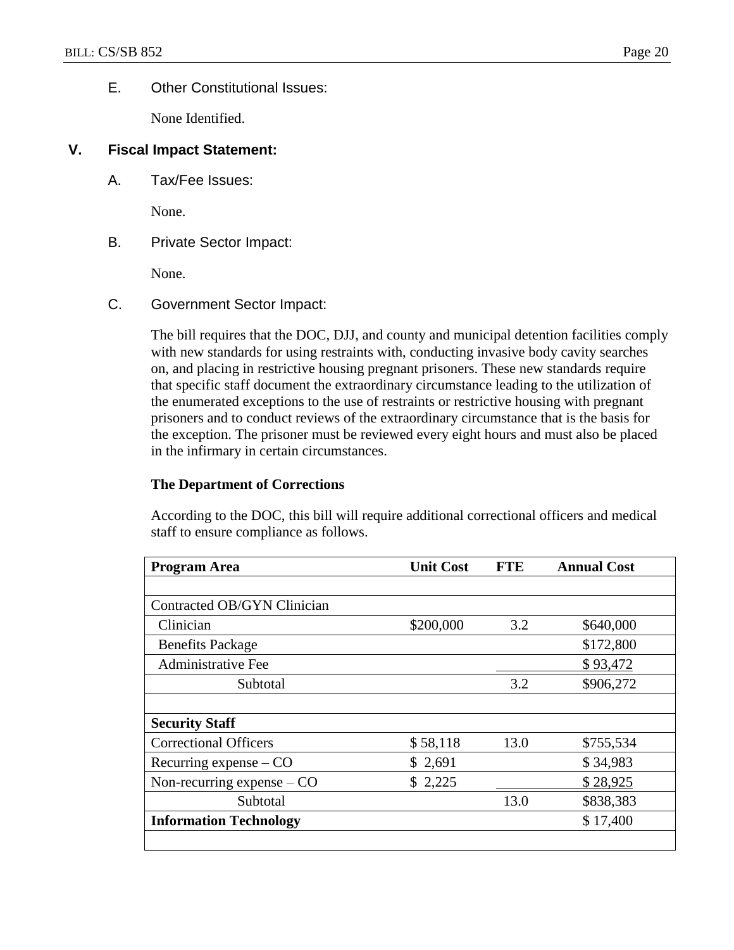#### E. Other Constitutional Issues:

None Identified.

#### **V. Fiscal Impact Statement:**

A. Tax/Fee Issues:

None.

B. Private Sector Impact:

None.

C. Government Sector Impact:

The bill requires that the DOC, DJJ, and county and municipal detention facilities comply with new standards for using restraints with, conducting invasive body cavity searches on, and placing in restrictive housing pregnant prisoners. These new standards require that specific staff document the extraordinary circumstance leading to the utilization of the enumerated exceptions to the use of restraints or restrictive housing with pregnant prisoners and to conduct reviews of the extraordinary circumstance that is the basis for the exception. The prisoner must be reviewed every eight hours and must also be placed in the infirmary in certain circumstances.

#### **The Department of Corrections**

According to the DOC, this bill will require additional correctional officers and medical staff to ensure compliance as follows.

| <b>Program Area</b>           | <b>Unit Cost</b> | <b>FTE</b> | <b>Annual Cost</b> |
|-------------------------------|------------------|------------|--------------------|
|                               |                  |            |                    |
| Contracted OB/GYN Clinician   |                  |            |                    |
| Clinician                     | \$200,000        | 3.2        | \$640,000          |
| <b>Benefits Package</b>       |                  |            | \$172,800          |
| <b>Administrative Fee</b>     |                  |            | \$93,472           |
| Subtotal                      |                  | 3.2        | \$906,272          |
|                               |                  |            |                    |
| <b>Security Staff</b>         |                  |            |                    |
| <b>Correctional Officers</b>  | \$58,118         | 13.0       | \$755,534          |
| Recurring expense $-$ CO      | \$2,691          |            | \$34,983           |
| Non-recurring expense $-$ CO  | \$2,225          |            | \$28,925           |
| Subtotal                      |                  | 13.0       | \$838,383          |
| <b>Information Technology</b> |                  |            | \$17,400           |
|                               |                  |            |                    |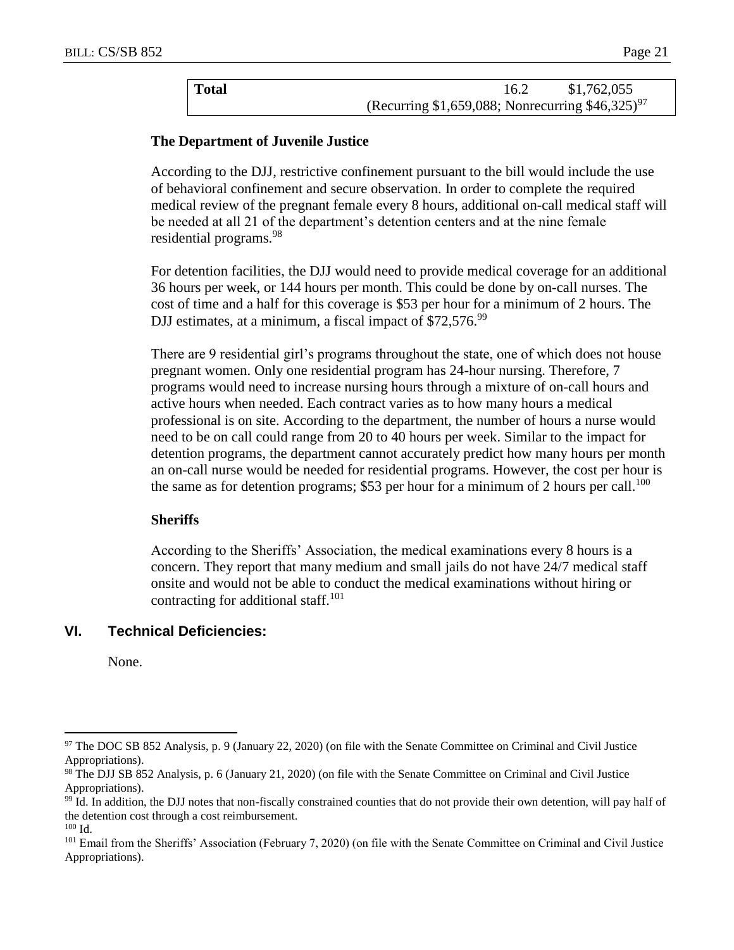| Total |                                                              | 16.2 | \$1,762,055 |  |
|-------|--------------------------------------------------------------|------|-------------|--|
|       | (Recurring \$1,659,088; Nonrecurring \$46,325) <sup>97</sup> |      |             |  |

### **The Department of Juvenile Justice**

According to the DJJ, restrictive confinement pursuant to the bill would include the use of behavioral confinement and secure observation. In order to complete the required medical review of the pregnant female every 8 hours, additional on-call medical staff will be needed at all 21 of the department's detention centers and at the nine female residential programs.<sup>98</sup>

For detention facilities, the DJJ would need to provide medical coverage for an additional 36 hours per week, or 144 hours per month. This could be done by on-call nurses. The cost of time and a half for this coverage is \$53 per hour for a minimum of 2 hours. The DJJ estimates, at a minimum, a fiscal impact of \$72,576.<sup>99</sup>

There are 9 residential girl's programs throughout the state, one of which does not house pregnant women. Only one residential program has 24-hour nursing. Therefore, 7 programs would need to increase nursing hours through a mixture of on-call hours and active hours when needed. Each contract varies as to how many hours a medical professional is on site. According to the department, the number of hours a nurse would need to be on call could range from 20 to 40 hours per week. Similar to the impact for detention programs, the department cannot accurately predict how many hours per month an on-call nurse would be needed for residential programs. However, the cost per hour is the same as for detention programs; \$53 per hour for a minimum of 2 hours per call.<sup>100</sup>

#### **Sheriffs**

According to the Sheriffs' Association, the medical examinations every 8 hours is a concern. They report that many medium and small jails do not have 24/7 medical staff onsite and would not be able to conduct the medical examinations without hiring or contracting for additional staff.<sup>101</sup>

### **VI. Technical Deficiencies:**

None.

<sup>97</sup> The DOC SB 852 Analysis, p. 9 (January 22, 2020) (on file with the Senate Committee on Criminal and Civil Justice Appropriations).

<sup>98</sup> The DJJ SB 852 Analysis, p. 6 (January 21, 2020) (on file with the Senate Committee on Criminal and Civil Justice Appropriations).

<sup>&</sup>lt;sup>99</sup> Id. In addition, the DJJ notes that non-fiscally constrained counties that do not provide their own detention, will pay half of the detention cost through a cost reimbursement. <sup>100</sup> Id.

<sup>&</sup>lt;sup>101</sup> Email from the Sheriffs' Association (February 7, 2020) (on file with the Senate Committee on Criminal and Civil Justice Appropriations).